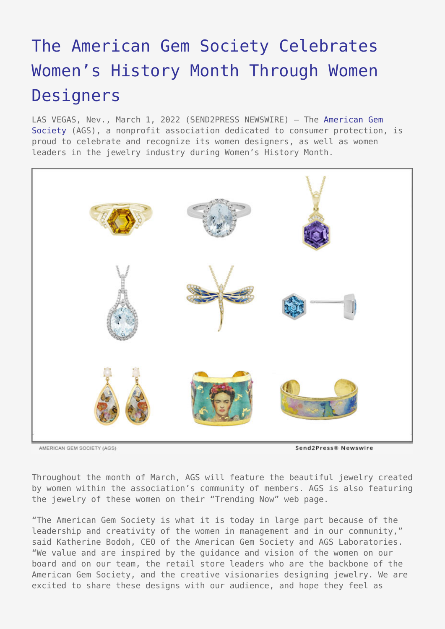## [The American Gem Society Celebrates](https://www.send2press.com/wire/the-american-gem-society-celebrates-womens-history-month-through-women-designers/) [Women's History Month Through Women](https://www.send2press.com/wire/the-american-gem-society-celebrates-womens-history-month-through-women-designers/) **[Designers](https://www.send2press.com/wire/the-american-gem-society-celebrates-womens-history-month-through-women-designers/)**

LAS VEGAS, Nev., March 1, 2022 (SEND2PRESS NEWSWIRE) — The [American Gem](http://www.americangemsociety.org) [Society](http://www.americangemsociety.org) (AGS), a nonprofit association dedicated to consumer protection, is proud to celebrate and recognize its women designers, as well as women leaders in the jewelry industry during Women's History Month.



AMERICAN GEM SOCIETY (AGS)

Send2Press® Newswire

Throughout the month of March, AGS will feature the beautiful jewelry created by women within the association's community of members. AGS is also featuring the jewelry of these women on their "Trending Now" web page.

"The American Gem Society is what it is today in large part because of the leadership and creativity of the women in management and in our community," said Katherine Bodoh, CEO of the American Gem Society and AGS Laboratories. "We value and are inspired by the guidance and vision of the women on our board and on our team, the retail store leaders who are the backbone of the American Gem Society, and the creative visionaries designing jewelry. We are excited to share these designs with our audience, and hope they feel as